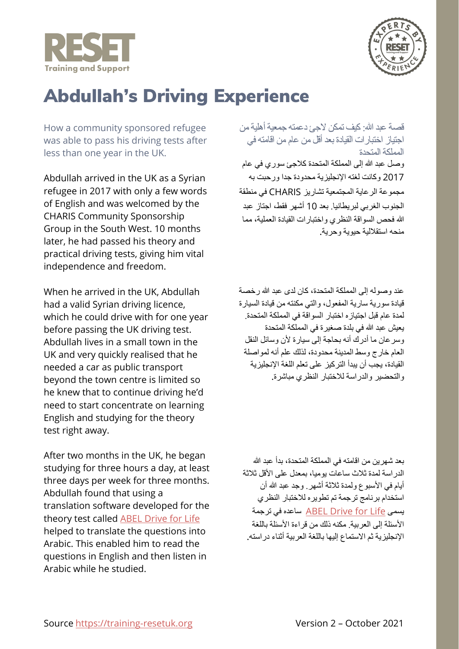



## Abdullah's Driving Experience

How a community sponsored refugee was able to pass his driving tests after less than one year in the UK.

Abdullah arrived in the UK as a Syrian refugee in 2017 with only a few words of English and was welcomed by the CHARIS Community Sponsorship Group in the South West. 10 months later, he had passed his theory and practical driving tests, giving him vital independence and freedom.

When he arrived in the UK, Abdullah had a valid Syrian driving licence, which he could drive with for one year before passing the UK driving test. Abdullah lives in a small town in the UK and very quickly realised that he needed a car as public transport beyond the town centre is limited so he knew that to continue driving he'd need to start concentrate on learning English and studying for the theory test right away.

After two months in the UK, he began studying for three hours a day, at least three days per week for three months. Abdullah found that using a translation software developed for the theory test called [ABEL Drive for Life](https://www.abeldriving.co.uk/) helped to translate the questions into Arabic. This enabled him to read the questions in English and then listen in Arabic while he studied.

قصة عبد الله: كیف تمكن لاجئ دعمتھ جمعیة أھلیة من اجتیاز اختبارات القیادة بعد أقل من عام من اقامتھ في المملكة المتحدة وصل عبد الله إلى المملكة المتحدة كلاجئ سوري في عام 2017 وكانت لغتھ الإنجلیزیة محدودة جدا ورحبت بھ مجموعة الرعایة المجتمعیة تشاریز CHARIS في منطقة الجنوب الغربي لبریطانیا. بعد 10 أشھر فقط، اجتاز عبد

الله فحص السواقة النظري واختبارات القیادة العملیة، مما منحھ استقلالیة حیویة وحریة.

عند وصولھ إلى المملكة المتحدة، كان لدى عبد الله رخصة قیادة سوریة ساریة المفعول، والتي مكنتھ من قیادة السیارة لمدة عام قبل اجتیازه اختبار السواقة في المملكة المتحدة. یعیش عبد الله في بلدة صغیرة في المملكة المتحدة وسرعان ما أدرك أنھ بحاجة إلى سیارة لأن وسائل النقل العام خارج وسط المدینة محدودة، لذلك علم أنھ لمواصلة القیادة، یجب أن یبدأ التركیز على تعلم اللغة الإنجلیزیة والتحضیر والدراسة للاختبار النظري مباشرة.

بعد شھرین من اقامتھ في المملكة المتحدة، بدأ عبد الله الدراسة لمدة ثلاث ساعات یومیا، بمعدل على الأقل ثلاثة أیام في الأسبوع ولمدة ثلاثة أشھر. وجد عبد الله أن استخدام برنامج ترجمة تم تطویره للاختبار النظري یسمى [Life for Drive ABEL](https://www.abeldriving.co.uk/) ساعده في ترجمة الأسئلة إلى العربیة. مكنھ ذلك من قراءة الأسئلة باللغة الإنجلیزیة ثم الاستماع إلیھا باللغة العربیة أثناء دراستھ.